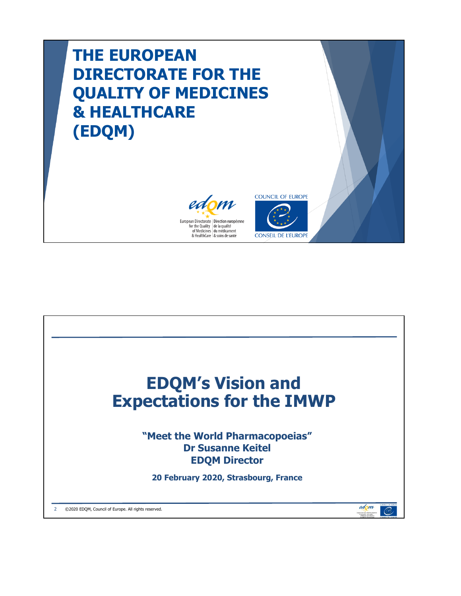# **THE EUROPEAN DIRECTORATE FOR THE QUALITY OF MEDICINES & HEALTHCARE (EDQM)**





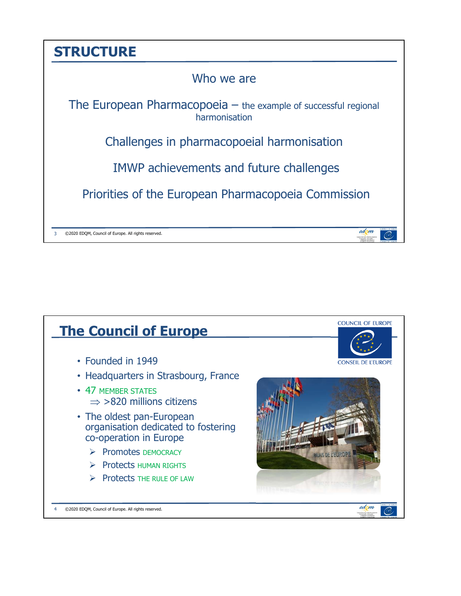

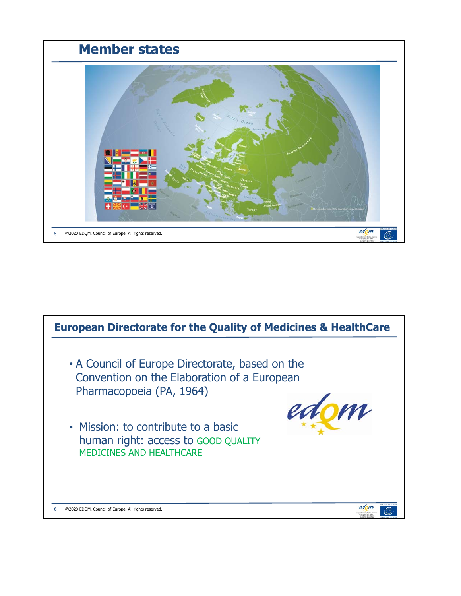

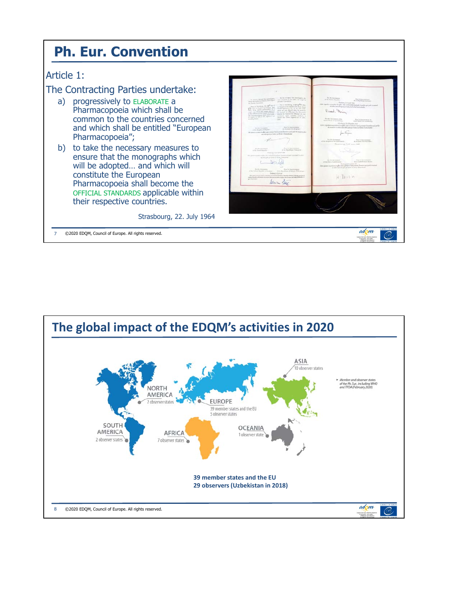# **Ph. Eur. Convention**

#### Article 1:

The Contracting Parties undertake:

- a) progressively to ELABORATE a Pharmacopoeia which shall be common to the countries concerned and which shall be entitled "European Pharmacopoeia";
- b) to take the necessary measures to ensure that the monographs which will be adopted… and which will constitute the European Pharmacopoeia shall become the OFFICIAL STANDARDS applicable within their respective countries.

Strasbourg, 22. July 1964

7 ©2020 EDQM, Council of Europe. All rights reserved.



 $\begin{array}{l} \mbox{Poisson component} \\ \mbox{in Mpcings Porsal} \end{array}$ 

Joseph

Storin Pitel

 $H - T$ 

 $+1.1.1.0$ 

edom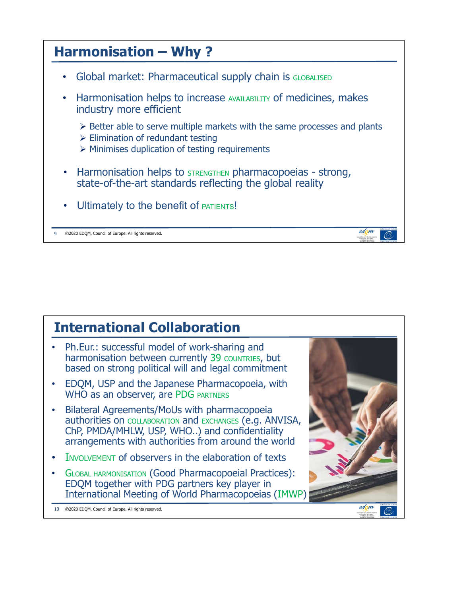

### **International Collaboration**

- Ph.Eur.: successful model of work-sharing and harmonisation between currently 39 COUNTRIES, but based on strong political will and legal commitment
- EDQM, USP and the Japanese Pharmacopoeia, with WHO as an observer, are PDG PARTNERS
- Bilateral Agreements/MoUs with pharmacopoeia authorities on COLLABORATION and EXCHANGES (e.g. ANVISA, ChP, PMDA/MHLW, USP, WHO..) and confidentiality arrangements with authorities from around the world
- INVOLVEMENT of observers in the elaboration of texts
- GLOBAL HARMONISATION (Good Pharmacopoeial Practices): EDQM together with PDG partners key player in International Meeting of World Pharmacopoeias (IMWP)

10 ©2020 EDQM, Council of Europe. All rights reserved.

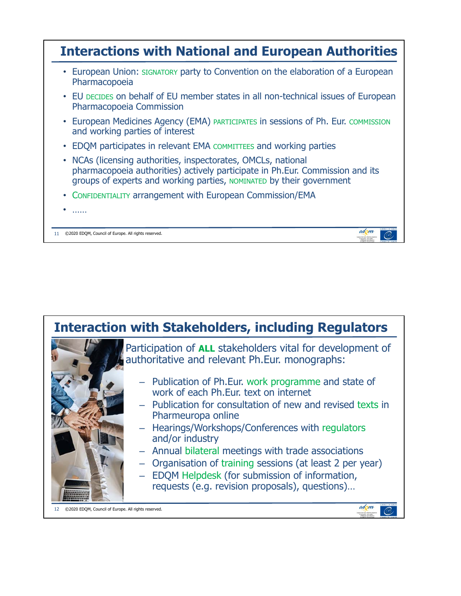

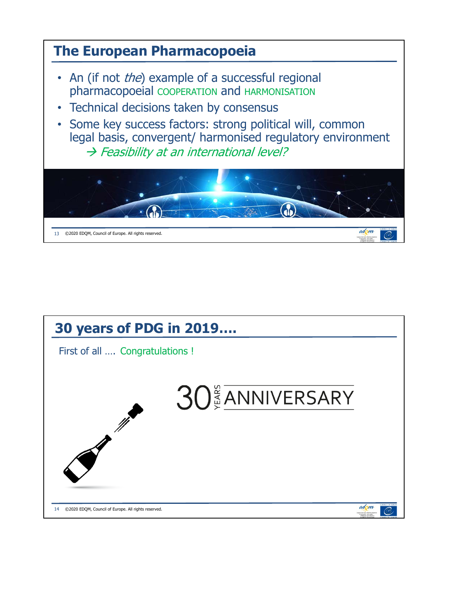

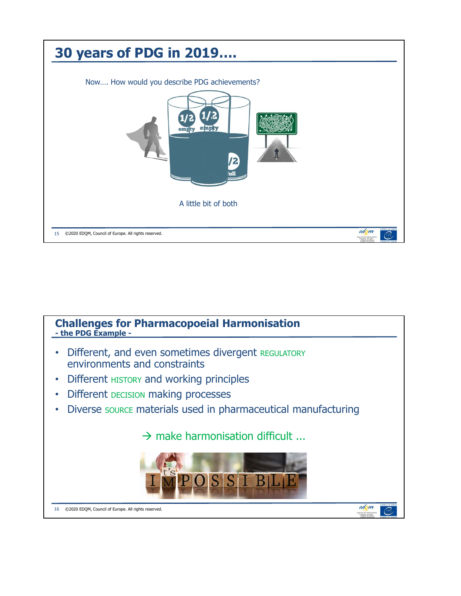

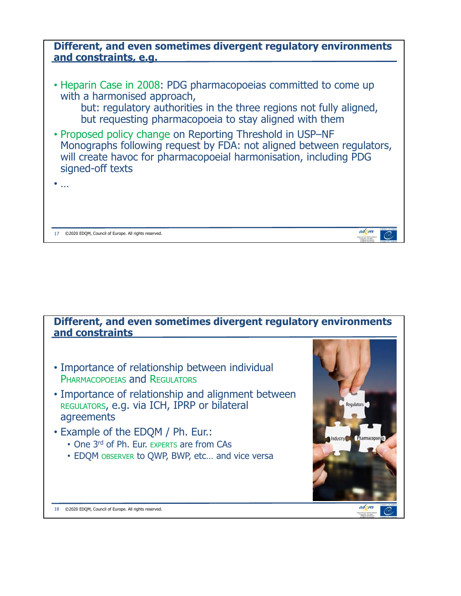| Different, and even sometimes divergent regulatory environments<br>and constraints, e.g.                                                                                                                                        |
|---------------------------------------------------------------------------------------------------------------------------------------------------------------------------------------------------------------------------------|
|                                                                                                                                                                                                                                 |
| • Heparin Case in 2008: PDG pharmacopoeias committed to come up<br>with a harmonised approach,<br>but: regulatory authorities in the three regions not fully aligned,<br>but requesting pharmacopoeia to stay aligned with them |
| • Proposed policy change on Reporting Threshold in USP–NF<br>Monographs following request by FDA: not aligned between regulators,<br>will create havoc for pharmacopoeial harmonisation, including PDG<br>signed-off texts      |
|                                                                                                                                                                                                                                 |
|                                                                                                                                                                                                                                 |
|                                                                                                                                                                                                                                 |
|                                                                                                                                                                                                                                 |
| edom<br>©2020 EDQM, Council of Europe. All rights reserved.                                                                                                                                                                     |

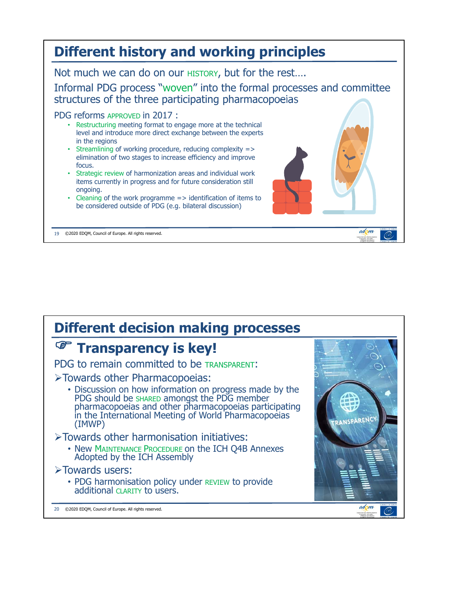| <b>Different history and working principles</b>                                                                                                                                                                                                                                                                                                                                                                                                                                                                                                                                                             |
|-------------------------------------------------------------------------------------------------------------------------------------------------------------------------------------------------------------------------------------------------------------------------------------------------------------------------------------------------------------------------------------------------------------------------------------------------------------------------------------------------------------------------------------------------------------------------------------------------------------|
| Not much we can do on our HISTORY, but for the rest<br>Informal PDG process "woven" into the formal processes and committee<br>structures of the three participating pharmacopoeias                                                                                                                                                                                                                                                                                                                                                                                                                         |
| PDG reforms APPROVED in 2017 :<br>Restructuring meeting format to engage more at the technical<br>level and introduce more direct exchange between the experts<br>in the regions<br>Streamlining of working procedure, reducing complexity =><br>elimination of two stages to increase efficiency and improve<br>focus.<br>Strategic review of harmonization areas and individual work<br>items currently in progress and for future consideration still<br>ongoing.<br>Cleaning of the work programme $\Rightarrow$ identification of items to<br>be considered outside of PDG (e.g. bilateral discussion) |
| edom<br>©2020 EDOM, Council of Europe. All rights reserved.<br>19                                                                                                                                                                                                                                                                                                                                                                                                                                                                                                                                           |

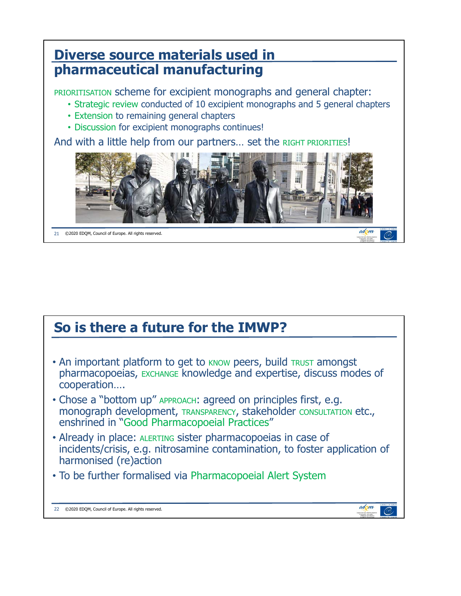

# **So is there a future for the IMWP?**

- An important platform to get to KNOW peers, build TRUST amongst pharmacopoeias, EXCHANGE knowledge and expertise, discuss modes of cooperation….
- Chose a "bottom up" APPROACH: agreed on principles first, e.g. monograph development, TRANSPARENCY, stakeholder CONSULTATION etc., enshrined in "Good Pharmacopoeial Practices"
- Already in place: ALERTING sister pharmacopoeias in case of incidents/crisis, e.g. nitrosamine contamination, to foster application of harmonised (re)action

edom

 $\mathcal{O}$ 

• To be further formalised via Pharmacopoeial Alert System

22 ©2020 EDQM, Council of Europe. All rights reserved.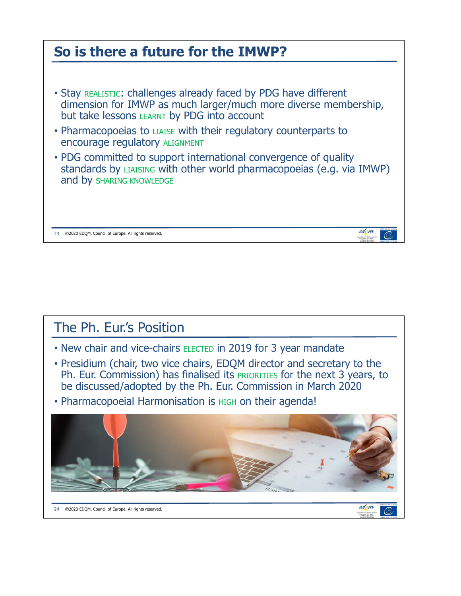

### The Ph. Eur.'s Position

- New chair and vice-chairs ELECTED in 2019 for 3 year mandate
- Presidium (chair, two vice chairs, EDQM director and secretary to the Ph. Eur. Commission) has finalised its PRIORITIES for the next 3 years, to be discussed/adopted by the Ph. Eur. Commission in March 2020
- Pharmacopoeial Harmonisation is HIGH on their agenda!